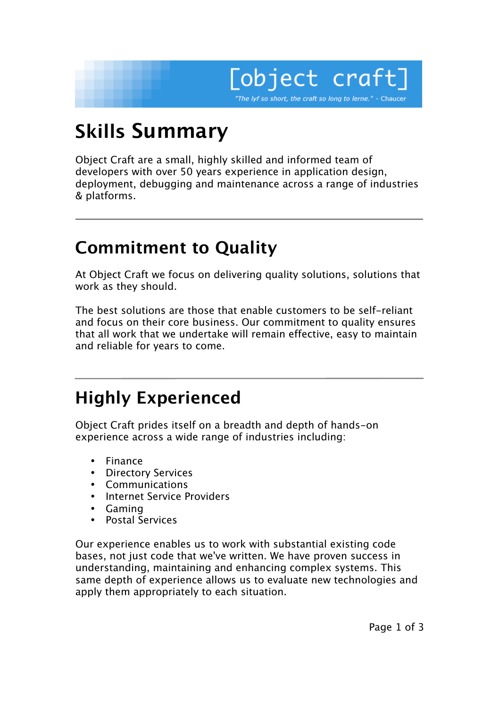

# **Skills Summary**

Object Craft are a small, highly skilled and informed team of developers with over 50 years experience in application design, deployment, debugging and maintenance across a range of industries & platforms.

## **Commitment to Quality**

At Object Craft we focus on delivering quality solutions, solutions that work as they should.

The best solutions are those that enable customers to be self-reliant and focus on their core business. Our commitment to quality ensures that all work that we undertake will remain effective, easy to maintain and reliable for years to come.

### **Highly Experienced**

Object Craft prides itself on a breadth and depth of hands-on experience across a wide range of industries including:

Finance Directory Services Communications Internet Service Providers Gaming Postal Services

Our experience enables us to work with substantial existing code bases, not just code that we've written. We have proven success in understanding, maintaining and enhancing complex systems. This same depth of experience allows us to evaluate new technologies and apply them appropriately to each situation.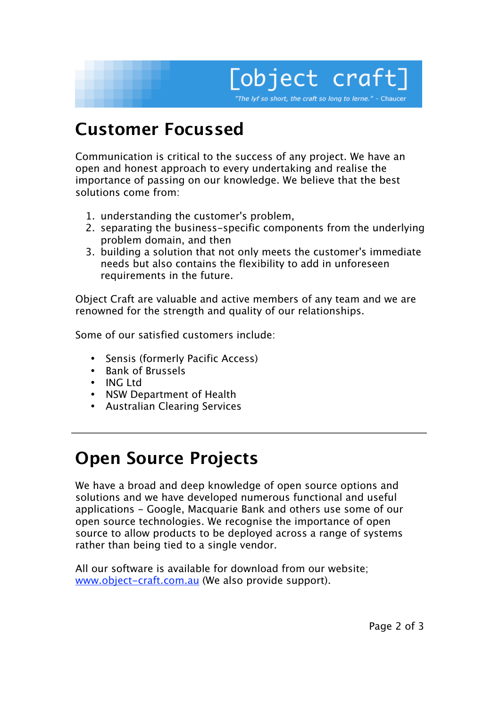

## **Customer Focussed**

Communication is critical to the success of any project. We have an open and honest approach to every undertaking and realise the importance of passing on our knowledge. We believe that the best solutions come from:

- 1. understanding the customer's problem,
- 2. separating the business-specific components from the underlying problem domain, and then
- 3. building a solution that not only meets the customer's immediate needs but also contains the flexibility to add in unforeseen requirements in the future.

Object Craft are valuable and active members of any team and we are renowned for the strength and quality of our relationships.

Some of our satisfied customers include:

Sensis (formerly Pacific Access) Bank of Brussels ING Ltd NSW Department of Health Australian Clearing Services

### **Open Source Projects**

We have a broad and deep knowledge of open source options and solutions and we have developed numerous functional and useful applications - Google, Macquarie Bank and others use some of our open source technologies. We recognise the importance of open source to allow products to be deployed across a range of systems rather than being tied to a single vendor.

All our software is available for download from our website; www.object-craft.com.au (We also provide support).